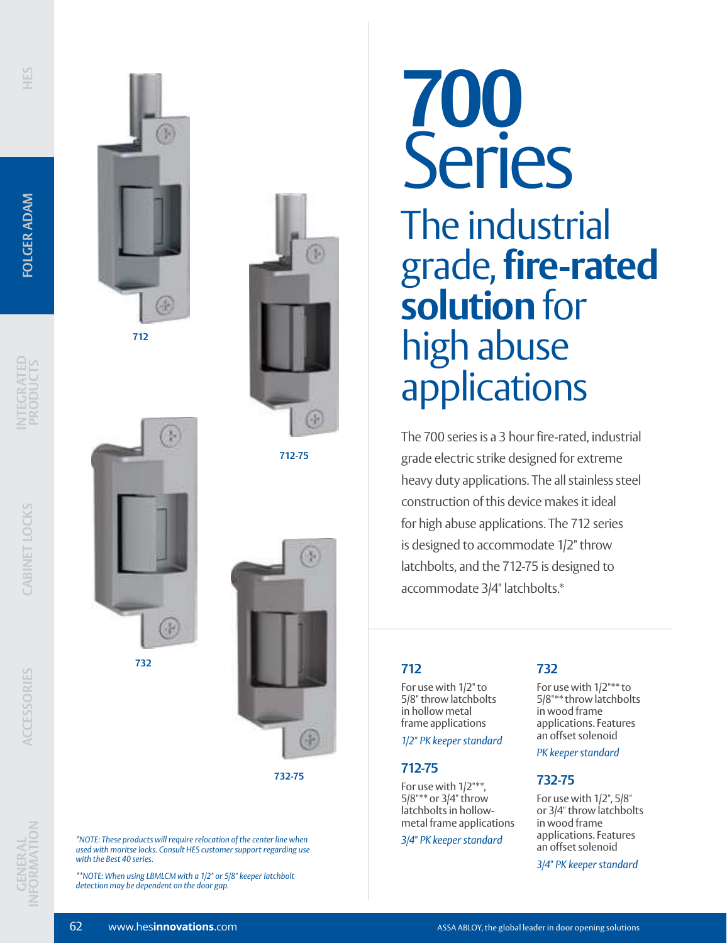**INTEGRATED PRODUCTS**

**CABINET LOCKS**

CABINET LOCKS





**712-75**



**732-75**

*\*NOTE: These products will require relocation of the center line when used with moritse locks. Consult HES customer support regarding use with the Best 40 series.*

*\*\*NOTE: When using LBMLCM with a 1/2" or 5/8" keeper latchbolt detection may be dependent on the door gap.*

# **700** Series The industrial grade, **fire-rated solution** for high abuse applications

The 700 series is a 3 hour fire-rated, industrial grade electric strike designed for extreme heavy duty applications. The all stainless steel construction of this device makes it ideal for high abuse applications. The 712 series is designed to accommodate 1/2" throw latchbolts, and the 712-75 is designed to accommodate 3/4" latchbolts.\*

# **712**

For use with 1/2" to 5/8" throw latchbolts in hollow metal frame applications

*1/2" PK keeper standard*

#### **712-75**

For use with 1/2"\*\*, 5/8"\*\* or 3/4" throw latchbolts in hollowmetal frame applications

*3/4" PK keeper standard*

### **732**

For use with 1/2"\*\* to 5/8"\*\* throw latchbolts in wood frame applications. Features an offset solenoid

*PK keeper standard*

#### **732-75**

For use with 1/2", 5/8" or 3/4" throw latchbolts in wood frame applications. Features an offset solenoid

*3/4" PK keeper standard*

**ACCESSORIES**

**732**